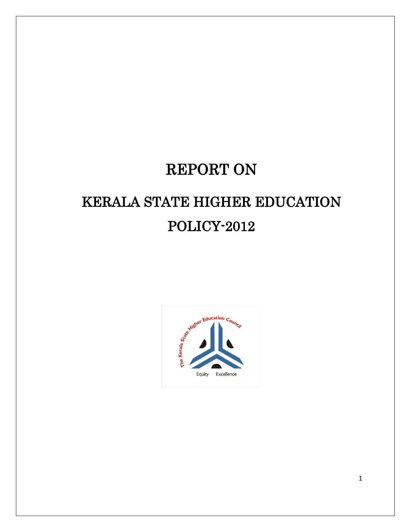# REPORT ON

# KERALA STATE HIGHER EDUCATION POLICY-2012

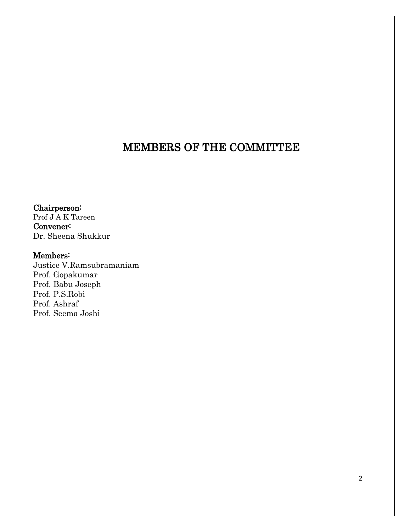# MEMBERS OF THE COMMITTEE

Chairperson: Prof J A K Tareen Convener: Dr. Sheena Shukkur

#### Members:

Justice V.Ramsubramaniam Prof. Gopakumar Prof. Babu Joseph Prof. P.S.Robi Prof. Ashraf Prof. Seema Joshi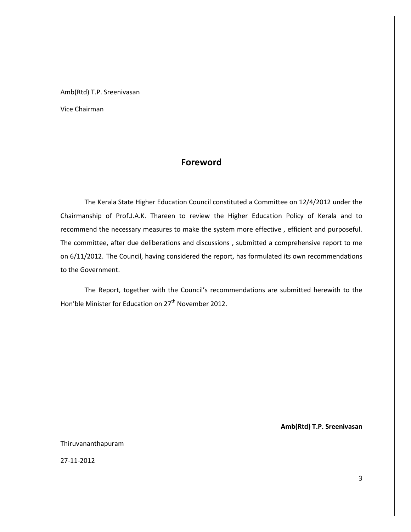Amb(Rtd) T.P. Sreenivasan

Vice Chairman

#### **Foreword**

The Kerala State Higher Education Council constituted a Committee on 12/4/2012 under the Chairmanship of Prof.J.A.K. Thareen to review the Higher Education Policy of Kerala and to recommend the necessary measures to make the system more effective , efficient and purposeful. The committee, after due deliberations and discussions , submitted a comprehensive report to me on 6/11/2012. The Council, having considered the report, has formulated its own recommendations to the Government.

The Report, together with the Council's recommendations are submitted herewith to the Hon'ble Minister for Education on 27<sup>th</sup> November 2012.

**Amb(Rtd) T.P. Sreenivasan**

Thiruvananthapuram

27-11-2012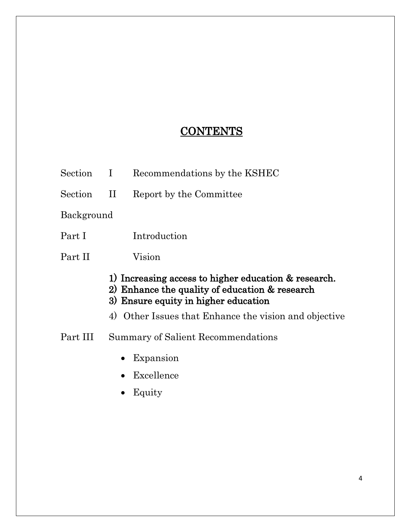# **CONTENTS**

- Section I Recommendations by the KSHEC Section II Report by the Committee Background Part I Introduction Part II Vision 1) Increasing access to higher education & research. 2) Enhance the quality of education & research 3) Ensure equity in higher education 4) Other Issues that Enhance the vision and objective Part III Summary of Salient Recommendations • Expansion Excellence
	- Equity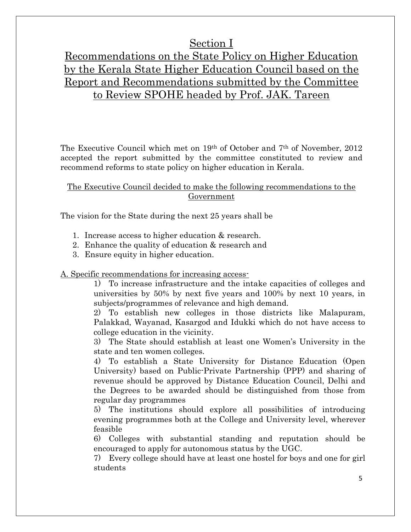### Section I

# Recommendations on the State Policy on Higher Education by the Kerala State Higher Education Council based on the Report and Recommendations submitted by the Committee to Review SPOHE headed by Prof. JAK. Tareen

The Executive Council which met on 19th of October and 7th of November, 2012 accepted the report submitted by the committee constituted to review and recommend reforms to state policy on higher education in Kerala.

#### The Executive Council decided to make the following recommendations to the Government

The vision for the State during the next 25 years shall be

- 1. Increase access to higher education & research.
- 2. Enhance the quality of education & research and
- 3. Ensure equity in higher education.

#### A. Specific recommendations for increasing access-

1) To increase infrastructure and the intake capacities of colleges and universities by 50% by next five years and 100% by next 10 years, in subjects/programmes of relevance and high demand.

2) To establish new colleges in those districts like Malapuram, Palakkad, Wayanad, Kasargod and Idukki which do not have access to college education in the vicinity.

3) The State should establish at least one Women's University in the state and ten women colleges.

4) To establish a State University for Distance Education (Open University) based on Public-Private Partnership (PPP) and sharing of revenue should be approved by Distance Education Council, Delhi and the Degrees to be awarded should be distinguished from those from regular day programmes

5) The institutions should explore all possibilities of introducing evening programmes both at the College and University level, wherever feasible

6) Colleges with substantial standing and reputation should be encouraged to apply for autonomous status by the UGC.

7) Every college should have at least one hostel for boys and one for girl students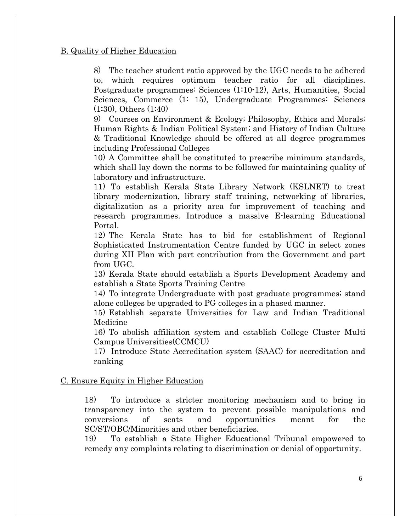#### B. Quality of Higher Education

8) The teacher student ratio approved by the UGC needs to be adhered to, which requires optimum teacher ratio for all disciplines. Postgraduate programmes: Sciences (1:10-12), Arts, Humanities, Social Sciences, Commerce (1: 15), Undergraduate Programmes: Sciences (1:30), Others (1:40)

9) Courses on Environment & Ecology; Philosophy, Ethics and Morals; Human Rights & Indian Political System; and History of Indian Culture & Traditional Knowledge should be offered at all degree programmes including Professional Colleges

10) A Committee shall be constituted to prescribe minimum standards, which shall lay down the norms to be followed for maintaining quality of laboratory and infrastructure.

11) To establish Kerala State Library Network (KSLNET) to treat library modernization, library staff training, networking of libraries, digitalization as a priority area for improvement of teaching and research programmes. Introduce a massive E-learning Educational Portal.

12) The Kerala State has to bid for establishment of Regional Sophisticated Instrumentation Centre funded by UGC in select zones during XII Plan with part contribution from the Government and part from UGC.

13) Kerala State should establish a Sports Development Academy and establish a State Sports Training Centre

14) To integrate Undergraduate with post graduate programmes; stand alone colleges be upgraded to PG colleges in a phased manner.

15) Establish separate Universities for Law and Indian Traditional Medicine

16) To abolish affiliation system and establish College Cluster Multi Campus Universities(CCMCU)

17) Introduce State Accreditation system (SAAC) for accreditation and ranking

#### C. Ensure Equity in Higher Education

18) To introduce a stricter monitoring mechanism and to bring in transparency into the system to prevent possible manipulations and conversions of seats and opportunities meant for the SC/ST/OBC/Minorities and other beneficiaries.

19) To establish a State Higher Educational Tribunal empowered to remedy any complaints relating to discrimination or denial of opportunity.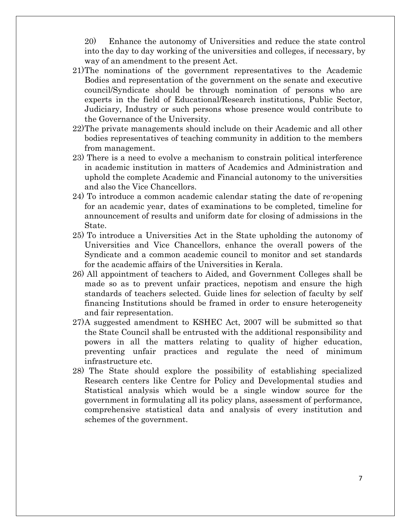20) Enhance the autonomy of Universities and reduce the state control into the day to day working of the universities and colleges, if necessary, by way of an amendment to the present Act.

- 21)The nominations of the government representatives to the Academic Bodies and representation of the government on the senate and executive council/Syndicate should be through nomination of persons who are experts in the field of Educational/Research institutions, Public Sector, Judiciary, Industry or such persons whose presence would contribute to the Governance of the University.
- 22)The private managements should include on their Academic and all other bodies representatives of teaching community in addition to the members from management.
- 23) There is a need to evolve a mechanism to constrain political interference in academic institution in matters of Academics and Administration and uphold the complete Academic and Financial autonomy to the universities and also the Vice Chancellors.
- 24) To introduce a common academic calendar stating the date of re-opening for an academic year, dates of examinations to be completed, timeline for announcement of results and uniform date for closing of admissions in the State.
- 25) To introduce a Universities Act in the State upholding the autonomy of Universities and Vice Chancellors, enhance the overall powers of the Syndicate and a common academic council to monitor and set standards for the academic affairs of the Universities in Kerala.
- 26) All appointment of teachers to Aided, and Government Colleges shall be made so as to prevent unfair practices, nepotism and ensure the high standards of teachers selected. Guide lines for selection of faculty by self financing Institutions should be framed in order to ensure heterogeneity and fair representation.
- 27)A suggested amendment to KSHEC Act, 2007 will be submitted so that the State Council shall be entrusted with the additional responsibility and powers in all the matters relating to quality of higher education, preventing unfair practices and regulate the need of minimum infrastructure etc.
- 28) The State should explore the possibility of establishing specialized Research centers like Centre for Policy and Developmental studies and Statistical analysis which would be a single window source for the government in formulating all its policy plans, assessment of performance, comprehensive statistical data and analysis of every institution and schemes of the government.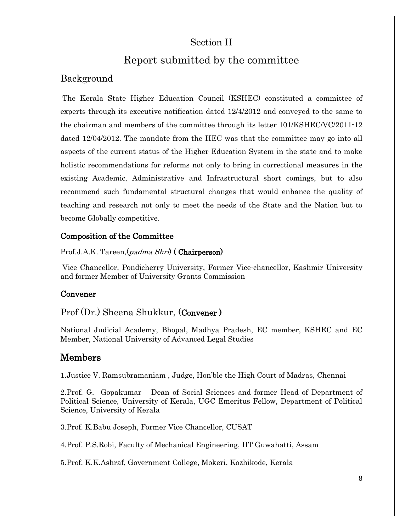### Section II

# Report submitted by the committee

### Background

The Kerala State Higher Education Council (KSHEC) constituted a committee of experts through its executive notification dated 12/4/2012 and conveyed to the same to the chairman and members of the committee through its letter 101/KSHEC/VC/2011-12 dated 12/04/2012. The mandate from the HEC was that the committee may go into all aspects of the current status of the Higher Education System in the state and to make holistic recommendations for reforms not only to bring in correctional measures in the existing Academic, Administrative and Infrastructural short comings, but to also recommend such fundamental structural changes that would enhance the quality of teaching and research not only to meet the needs of the State and the Nation but to become Globally competitive.

#### Composition of the Committee

Prof.J.A.K. Tareen, (*padma Shri*) (**Chairperson**)

Vice Chancellor, Pondicherry University, Former Vice-chancellor, Kashmir University and former Member of University Grants Commission

#### Convener

Prof (Dr.) Sheena Shukkur, (Convener )

National Judicial Academy, Bhopal, Madhya Pradesh, EC member, KSHEC and EC Member, National University of Advanced Legal Studies

#### Members

1.Justice V. Ramsubramaniam , Judge, Hon'ble the High Court of Madras, Chennai

2.Prof. G. Gopakumar Dean of Social Sciences and former Head of Department of Political Science, University of Kerala, UGC Emeritus Fellow, Department of Political Science, University of Kerala

3.Prof. K.Babu Joseph, Former Vice Chancellor, CUSAT

4.Prof. P.S.Robi, Faculty of Mechanical Engineering, IIT Guwahatti, Assam

5.Prof. K.K.Ashraf, Government College, Mokeri, Kozhikode, Kerala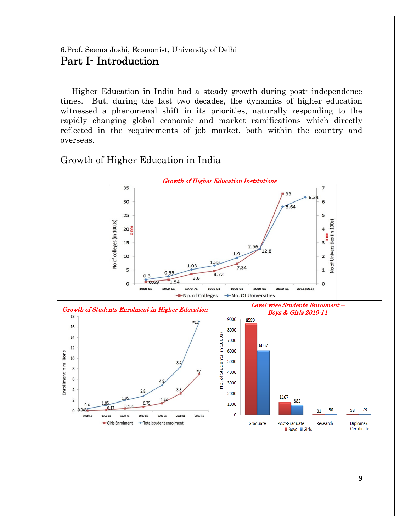#### 6.Prof. Seema Joshi, Economist, University of Delhi Part I- Introduction

 Higher Education in India had a steady growth during post- independence times. But, during the last two decades, the dynamics of higher education witnessed a phenomenal shift in its priorities, naturally responding to the rapidly changing global economic and market ramifications which directly reflected in the requirements of job market, both within the country and overseas.

Growth of Higher Education in India

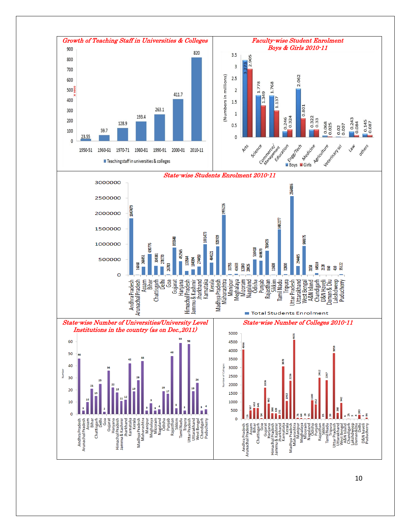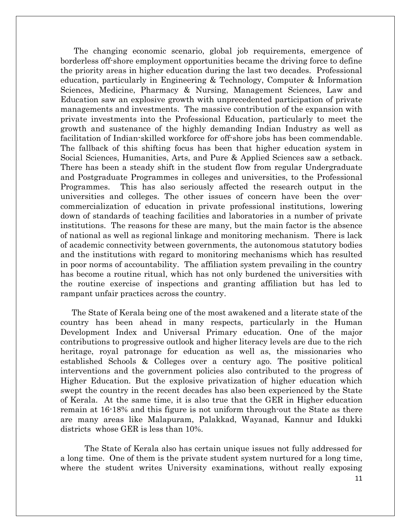The changing economic scenario, global job requirements, emergence of borderless off-shore employment opportunities became the driving force to define the priority areas in higher education during the last two decades. Professional education, particularly in Engineering & Technology, Computer & Information Sciences, Medicine, Pharmacy & Nursing, Management Sciences, Law and Education saw an explosive growth with unprecedented participation of private managements and investments. The massive contribution of the expansion with private investments into the Professional Education, particularly to meet the growth and sustenance of the highly demanding Indian Industry as well as facilitation of Indian-skilled workforce for off-shore jobs has been commendable. The fallback of this shifting focus has been that higher education system in Social Sciences, Humanities, Arts, and Pure & Applied Sciences saw a setback. There has been a steady shift in the student flow from regular Undergraduate and Postgraduate Programmes in colleges and universities, to the Professional Programmes. This has also seriously affected the research output in the universities and colleges. The other issues of concern have been the overcommercialization of education in private professional institutions, lowering down of standards of teaching facilities and laboratories in a number of private institutions. The reasons for these are many, but the main factor is the absence of national as well as regional linkage and monitoring mechanism. There is lack of academic connectivity between governments, the autonomous statutory bodies and the institutions with regard to monitoring mechanisms which has resulted in poor norms of accountability. The affiliation system prevailing in the country has become a routine ritual, which has not only burdened the universities with the routine exercise of inspections and granting affiliation but has led to rampant unfair practices across the country.

 The State of Kerala being one of the most awakened and a literate state of the country has been ahead in many respects, particularly in the Human Development Index and Universal Primary education. One of the major contributions to progressive outlook and higher literacy levels are due to the rich heritage, royal patronage for education as well as, the missionaries who established Schools & Colleges over a century ago. The positive political interventions and the government policies also contributed to the progress of Higher Education. But the explosive privatization of higher education which swept the country in the recent decades has also been experienced by the State of Kerala. At the same time, it is also true that the GER in Higher education remain at 16-18% and this figure is not uniform through-out the State as there are many areas like Malapuram, Palakkad, Wayanad, Kannur and Idukki districts whose GER is less than 10%.

The State of Kerala also has certain unique issues not fully addressed for a long time. One of them is the private student system nurtured for a long time, where the student writes University examinations, without really exposing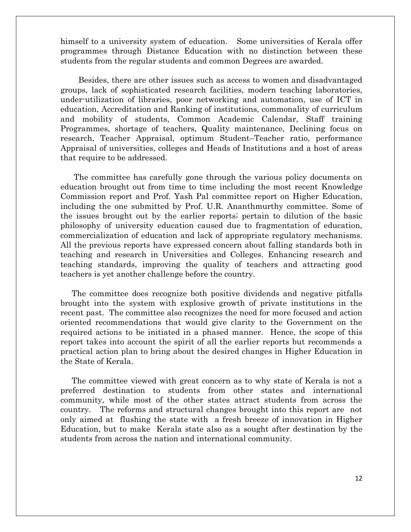himself to a university system of education. Some universities of Kerala offer programmes through Distance Education with no distinction between these students from the regular students and common Degrees are awarded.

 Besides, there are other issues such as access to women and disadvantaged groups, lack of sophisticated research facilities, modern teaching laboratories, under-utilization of libraries, poor networking and automation, use of ICT in education, Accreditation and Ranking of institutions, commonality of curriculum and mobility of students, Common Academic Calendar, Staff training Programmes, shortage of teachers, Quality maintenance, Declining focus on research, Teacher Appraisal, optimum Student–Teacher ratio, performance Appraisal of universities, colleges and Heads of Institutions and a host of areas that require to be addressed.

 The committee has carefully gone through the various policy documents on education brought out from time to time including the most recent Knowledge Commission report and Prof. Yash Pal committee report on Higher Education, including the one submitted by Prof. U.R. Ananthmurthy committee. Some of the issues brought out by the earlier reports; pertain to dilution of the basic philosophy of university education caused due to fragmentation of education, commercialization of education and lack of appropriate regulatory mechanisms. All the previous reports have expressed concern about falling standards both in teaching and research in Universities and Colleges. Enhancing research and teaching standards, improving the quality of teachers and attracting good teachers is yet another challenge before the country.

 The committee does recognize both positive dividends and negative pitfalls brought into the system with explosive growth of private institutions in the recent past. The committee also recognizes the need for more focused and action oriented recommendations that would give clarity to the Government on the required actions to be initiated in a phased manner. Hence, the scope of this report takes into account the spirit of all the earlier reports but recommends a practical action plan to bring about the desired changes in Higher Education in the State of Kerala.

 The committee viewed with great concern as to why state of Kerala is not a preferred destination to students from other states and international community, while most of the other states attract students from across the country. The reforms and structural changes brought into this report are not only aimed at flushing the state with a fresh breeze of innovation in Higher Education, but to make Kerala state also as a sought after destination by the students from across the nation and international community.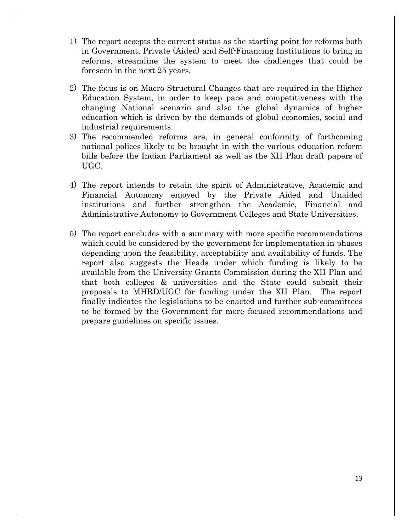- 1) The report accepts the current status as the starting point for reforms both in Government, Private (Aided) and Self-Financing Institutions to bring in reforms, streamline the system to meet the challenges that could be foreseen in the next 25 years.
- 2) The focus is on Macro Structural Changes that are required in the Higher Education System, in order to keep pace and competitiveness with the changing National scenario and also the global dynamics of higher education which is driven by the demands of global economics, social and industrial requirements.
- 3) The recommended reforms are, in general conformity of forthcoming national polices likely to be brought in with the various education reform bills before the Indian Parliament as well as the XII Plan draft papers of UGC.
- 4) The report intends to retain the spirit of Administrative, Academic and Financial Autonomy enjoyed by the Private Aided and Unaided institutions and further strengthen the Academic, Financial and Administrative Autonomy to Government Colleges and State Universities.
- 5) The report concludes with a summary with more specific recommendations which could be considered by the government for implementation in phases depending upon the feasibility, acceptability and availability of funds. The report also suggests the Heads under which funding is likely to be available from the University Grants Commission during the XII Plan and that both colleges & universities and the State could submit their proposals to MHRD/UGC for funding under the XII Plan. The report finally indicates the legislations to be enacted and further sub-committees to be formed by the Government for more focused recommendations and prepare guidelines on specific issues.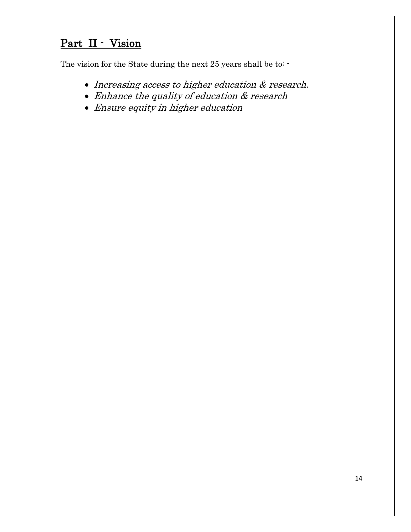# Part II - Vision

The vision for the State during the next 25 years shall be to: -

- Increasing access to higher education  $&$  research.
- Enhance the quality of education & research
- Ensure equity in higher education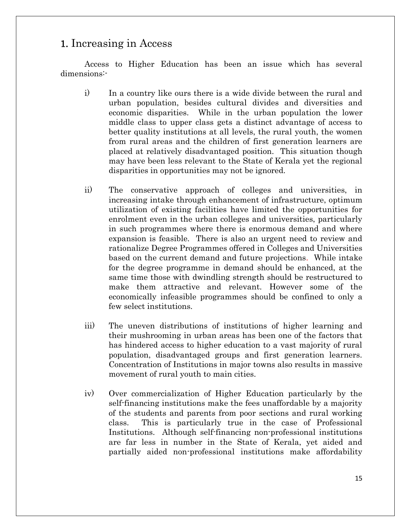### 1. Increasing in Access

Access to Higher Education has been an issue which has several dimensions:-

- i) In a country like ours there is a wide divide between the rural and urban population, besides cultural divides and diversities and economic disparities. While in the urban population the lower middle class to upper class gets a distinct advantage of access to better quality institutions at all levels, the rural youth, the women from rural areas and the children of first generation learners are placed at relatively disadvantaged position. This situation though may have been less relevant to the State of Kerala yet the regional disparities in opportunities may not be ignored.
- ii) The conservative approach of colleges and universities, in increasing intake through enhancement of infrastructure, optimum utilization of existing facilities have limited the opportunities for enrolment even in the urban colleges and universities, particularly in such programmes where there is enormous demand and where expansion is feasible. There is also an urgent need to review and rationalize Degree Programmes offered in Colleges and Universities based on the current demand and future projections. While intake for the degree programme in demand should be enhanced, at the same time those with dwindling strength should be restructured to make them attractive and relevant. However some of the economically infeasible programmes should be confined to only a few select institutions.
- iii) The uneven distributions of institutions of higher learning and their mushrooming in urban areas has been one of the factors that has hindered access to higher education to a vast majority of rural population, disadvantaged groups and first generation learners. Concentration of Institutions in major towns also results in massive movement of rural youth to main cities.
- iv) Over commercialization of Higher Education particularly by the self-financing institutions make the fees unaffordable by a majority of the students and parents from poor sections and rural working class. This is particularly true in the case of Professional Institutions. Although self-financing non-professional institutions are far less in number in the State of Kerala, yet aided and partially aided non-professional institutions make affordability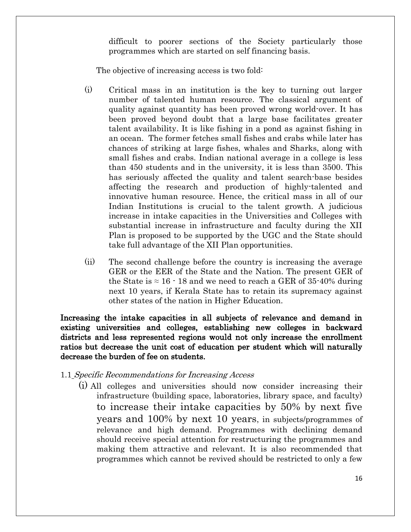difficult to poorer sections of the Society particularly those programmes which are started on self financing basis.

The objective of increasing access is two fold:

- (i) Critical mass in an institution is the key to turning out larger number of talented human resource. The classical argument of quality against quantity has been proved wrong world-over. It has been proved beyond doubt that a large base facilitates greater talent availability. It is like fishing in a pond as against fishing in an ocean. The former fetches small fishes and crabs while later has chances of striking at large fishes, whales and Sharks, along with small fishes and crabs. Indian national average in a college is less than 450 students and in the university, it is less than 3500. This has seriously affected the quality and talent search-base besides affecting the research and production of highly-talented and innovative human resource. Hence, the critical mass in all of our Indian Institutions is crucial to the talent growth. A judicious increase in intake capacities in the Universities and Colleges with substantial increase in infrastructure and faculty during the XII Plan is proposed to be supported by the UGC and the State should take full advantage of the XII Plan opportunities.
- (ii) The second challenge before the country is increasing the average GER or the EER of the State and the Nation. The present GER of the State is  $\approx 16 \cdot 18$  and we need to reach a GER of 35-40% during next 10 years, if Kerala State has to retain its supremacy against other states of the nation in Higher Education.

Increasing the intake capacities in all subjects of relevance and demand in existing universities and colleges, establishing new colleges in backward districts and less represented regions would not only increase the enrollment ratios but decrease the unit cost of education per student which will naturally decrease the burden of fee on students.

- 1.1 Specific Recommendations for Increasing Access
	- (i) All colleges and universities should now consider increasing their infrastructure (building space, laboratories, library space, and faculty) to increase their intake capacities by 50% by next five years and 100% by next 10 years, in subjects/programmes of relevance and high demand. Programmes with declining demand should receive special attention for restructuring the programmes and making them attractive and relevant. It is also recommended that programmes which cannot be revived should be restricted to only a few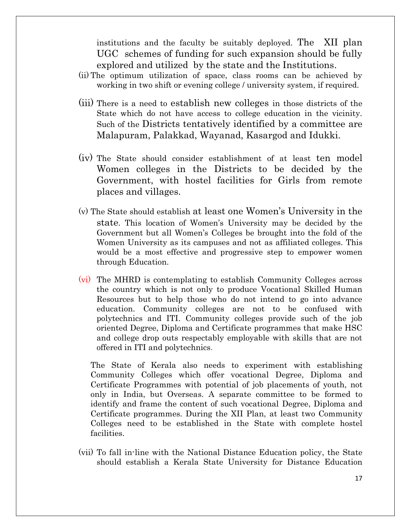institutions and the faculty be suitably deployed. The XII plan UGC schemes of funding for such expansion should be fully explored and utilized by the state and the Institutions.

- (ii) The optimum utilization of space, class rooms can be achieved by working in two shift or evening college / university system, if required.
- (iii) There is a need to establish new colleges in those districts of the State which do not have access to college education in the vicinity. Such of the Districts tentatively identified by a committee are Malapuram, Palakkad, Wayanad, Kasargod and Idukki.
- (iv) The State should consider establishment of at least ten model Women colleges in the Districts to be decided by the Government, with hostel facilities for Girls from remote places and villages.
- (v) The State should establish at least one Women's University in the state. This location of Women's University may be decided by the Government but all Women's Colleges be brought into the fold of the Women University as its campuses and not as affiliated colleges. This would be a most effective and progressive step to empower women through Education.
- (vi) The MHRD is contemplating to establish Community Colleges across the country which is not only to produce Vocational Skilled Human Resources but to help those who do not intend to go into advance education. Community colleges are not to be confused with polytechnics and ITI. Community colleges provide such of the job oriented Degree, Diploma and Certificate programmes that make HSC and college drop outs respectably employable with skills that are not offered in ITI and polytechnics.

The State of Kerala also needs to experiment with establishing Community Colleges which offer vocational Degree, Diploma and Certificate Programmes with potential of job placements of youth, not only in India, but Overseas. A separate committee to be formed to identify and frame the content of such vocational Degree, Diploma and Certificate programmes. During the XII Plan, at least two Community Colleges need to be established in the State with complete hostel facilities.

(vii) To fall in-line with the National Distance Education policy, the State should establish a Kerala State University for Distance Education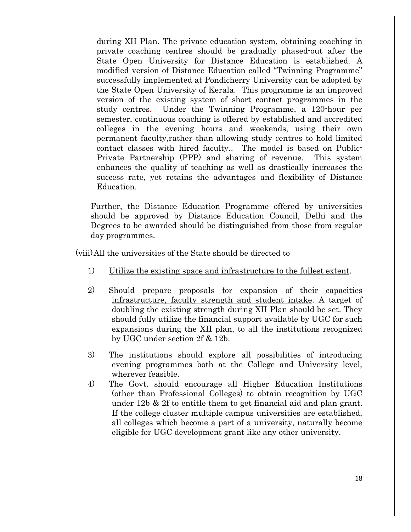during XII Plan. The private education system, obtaining coaching in private coaching centres should be gradually phased-out after the State Open University for Distance Education is established. A modified version of Distance Education called "Twinning Programme" successfully implemented at Pondicherry University can be adopted by the State Open University of Kerala. This programme is an improved version of the existing system of short contact programmes in the study centres. Under the Twinning Programme, a 120-hour per semester, continuous coaching is offered by established and accredited colleges in the evening hours and weekends, using their own permanent faculty,rather than allowing study centres to hold limited contact classes with hired faculty.. The model is based on Public-Private Partnership (PPP) and sharing of revenue. This system enhances the quality of teaching as well as drastically increases the success rate, yet retains the advantages and flexibility of Distance Education.

Further, the Distance Education Programme offered by universities should be approved by Distance Education Council, Delhi and the Degrees to be awarded should be distinguished from those from regular day programmes.

(viii)All the universities of the State should be directed to

- 1) Utilize the existing space and infrastructure to the fullest extent.
- 2) Should prepare proposals for expansion of their capacities infrastructure, faculty strength and student intake. A target of doubling the existing strength during XII Plan should be set. They should fully utilize the financial support available by UGC for such expansions during the XII plan, to all the institutions recognized by UGC under section 2f & 12b.
- 3) The institutions should explore all possibilities of introducing evening programmes both at the College and University level, wherever feasible.
- 4) The Govt. should encourage all Higher Education Institutions (other than Professional Colleges) to obtain recognition by UGC under 12b & 2f to entitle them to get financial aid and plan grant. If the college cluster multiple campus universities are established, all colleges which become a part of a university, naturally become eligible for UGC development grant like any other university.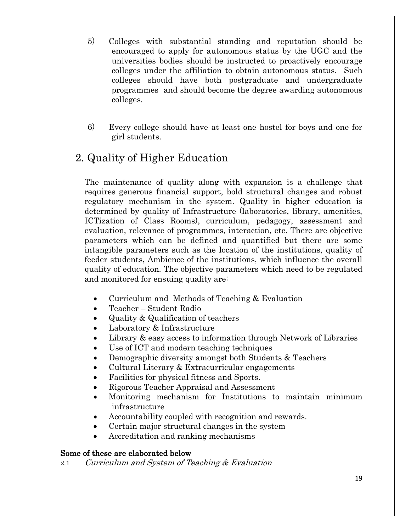- 5) Colleges with substantial standing and reputation should be encouraged to apply for autonomous status by the UGC and the universities bodies should be instructed to proactively encourage colleges under the affiliation to obtain autonomous status. Such colleges should have both postgraduate and undergraduate programmes and should become the degree awarding autonomous colleges.
- 6) Every college should have at least one hostel for boys and one for girl students.

# 2. Quality of Higher Education

The maintenance of quality along with expansion is a challenge that requires generous financial support, bold structural changes and robust regulatory mechanism in the system. Quality in higher education is determined by quality of Infrastructure (laboratories, library, amenities, ICTization of Class Rooms), curriculum, pedagogy, assessment and evaluation, relevance of programmes, interaction, etc. There are objective parameters which can be defined and quantified but there are some intangible parameters such as the location of the institutions, quality of feeder students, Ambience of the institutions, which influence the overall quality of education. The objective parameters which need to be regulated and monitored for ensuing quality are:

- Curriculum and Methods of Teaching & Evaluation
- Teacher Student Radio
- Quality & Qualification of teachers
- Laboratory & Infrastructure
- Library & easy access to information through Network of Libraries
- Use of ICT and modern teaching techniques
- Demographic diversity amongst both Students & Teachers
- Cultural Literary & Extracurricular engagements
- Facilities for physical fitness and Sports.
- Rigorous Teacher Appraisal and Assessment
- Monitoring mechanism for Institutions to maintain minimum infrastructure
- Accountability coupled with recognition and rewards.
- Certain major structural changes in the system
- Accreditation and ranking mechanisms

#### Some of these are elaborated below

2.1 Curriculum and System of Teaching & Evaluation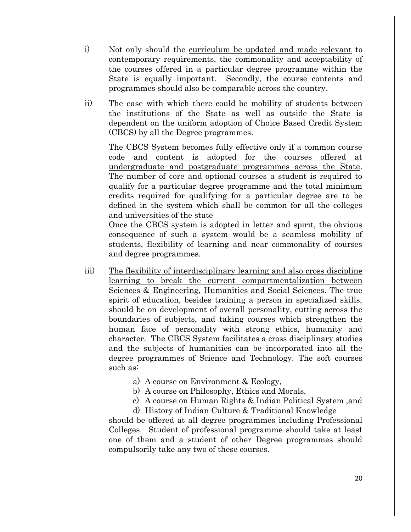- i) Not only should the curriculum be updated and made relevant to contemporary requirements, the commonality and acceptability of the courses offered in a particular degree programme within the State is equally important. Secondly, the course contents and programmes should also be comparable across the country.
- ii) The ease with which there could be mobility of students between the institutions of the State as well as outside the State is dependent on the uniform adoption of Choice Based Credit System (CBCS) by all the Degree programmes.

The CBCS System becomes fully effective only if a common course code and content is adopted for the courses offered at undergraduate and postgraduate programmes across the State. The number of core and optional courses a student is required to qualify for a particular degree programme and the total minimum credits required for qualifying for a particular degree are to be defined in the system which shall be common for all the colleges and universities of the state

Once the CBCS system is adopted in letter and spirit, the obvious consequence of such a system would be a seamless mobility of students, flexibility of learning and near commonality of courses and degree programmes.

- iii) The flexibility of interdisciplinary learning and also cross discipline learning to break the current compartmentalization between Sciences & Engineering, Humanities and Social Sciences. The true spirit of education, besides training a person in specialized skills, should be on development of overall personality, cutting across the boundaries of subjects, and taking courses which strengthen the human face of personality with strong ethics, humanity and character. The CBCS System facilitates a cross disciplinary studies and the subjects of humanities can be incorporated into all the degree programmes of Science and Technology. The soft courses such as:
	- a) A course on Environment & Ecology,
	- b) A course on Philosophy, Ethics and Morals,
	- c) A course on Human Rights & Indian Political System ,and
	- d) History of Indian Culture & Traditional Knowledge

should be offered at all degree programmes including Professional Colleges. Student of professional programme should take at least one of them and a student of other Degree programmes should compulsorily take any two of these courses.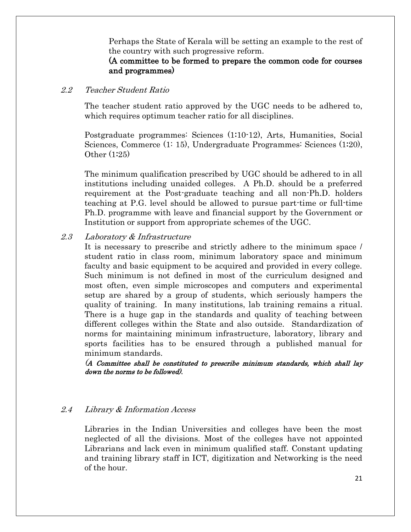Perhaps the State of Kerala will be setting an example to the rest of the country with such progressive reform.

#### (A committee to be formed to prepare the common code for courses and programmes)

#### 2.2 Teacher Student Ratio

The teacher student ratio approved by the UGC needs to be adhered to, which requires optimum teacher ratio for all disciplines.

Postgraduate programmes: Sciences (1:10-12), Arts, Humanities, Social Sciences, Commerce (1: 15), Undergraduate Programmes: Sciences (1:20), Other (1:25)

The minimum qualification prescribed by UGC should be adhered to in all institutions including unaided colleges. A Ph.D. should be a preferred requirement at the Post-graduate teaching and all non-Ph.D. holders teaching at P.G. level should be allowed to pursue part-time or full-time Ph.D. programme with leave and financial support by the Government or Institution or support from appropriate schemes of the UGC.

#### 2.3 Laboratory & Infrastructure

It is necessary to prescribe and strictly adhere to the minimum space / student ratio in class room, minimum laboratory space and minimum faculty and basic equipment to be acquired and provided in every college. Such minimum is not defined in most of the curriculum designed and most often, even simple microscopes and computers and experimental setup are shared by a group of students, which seriously hampers the quality of training. In many institutions, lab training remains a ritual. There is a huge gap in the standards and quality of teaching between different colleges within the State and also outside. Standardization of norms for maintaining minimum infrastructure, laboratory, library and sports facilities has to be ensured through a published manual for minimum standards.

(<sup>A</sup> Committee shall be constituted to prescribe minimum standards, which shall lay down the norms to be followed).

#### 2.4 Library & Information Access

Libraries in the Indian Universities and colleges have been the most neglected of all the divisions. Most of the colleges have not appointed Librarians and lack even in minimum qualified staff. Constant updating and training library staff in ICT, digitization and Networking is the need of the hour.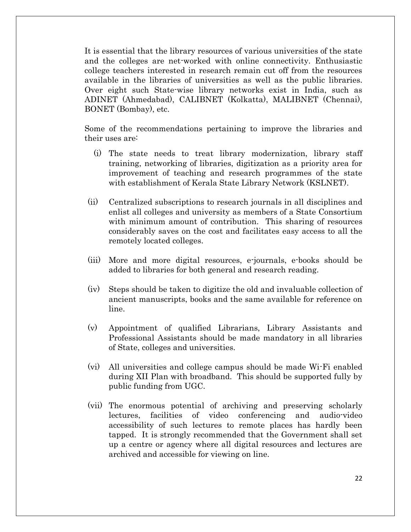It is essential that the library resources of various universities of the state and the colleges are net-worked with online connectivity. Enthusiastic college teachers interested in research remain cut off from the resources available in the libraries of universities as well as the public libraries. Over eight such State-wise library networks exist in India, such as ADINET (Ahmedabad), CALIBNET (Kolkatta), MALIBNET (Chennai), BONET (Bombay), etc.

Some of the recommendations pertaining to improve the libraries and their uses are:

- (i) The state needs to treat library modernization, library staff training, networking of libraries, digitization as a priority area for improvement of teaching and research programmes of the state with establishment of Kerala State Library Network (KSLNET).
- (ii) Centralized subscriptions to research journals in all disciplines and enlist all colleges and university as members of a State Consortium with minimum amount of contribution. This sharing of resources considerably saves on the cost and facilitates easy access to all the remotely located colleges.
- (iii) More and more digital resources, e-journals, e-books should be added to libraries for both general and research reading.
- (iv) Steps should be taken to digitize the old and invaluable collection of ancient manuscripts, books and the same available for reference on line.
- (v) Appointment of qualified Librarians, Library Assistants and Professional Assistants should be made mandatory in all libraries of State, colleges and universities.
- (vi) All universities and college campus should be made Wi-Fi enabled during XII Plan with broadband. This should be supported fully by public funding from UGC.
- (vii) The enormous potential of archiving and preserving scholarly lectures, facilities of video conferencing and audio-video accessibility of such lectures to remote places has hardly been tapped. It is strongly recommended that the Government shall set up a centre or agency where all digital resources and lectures are archived and accessible for viewing on line.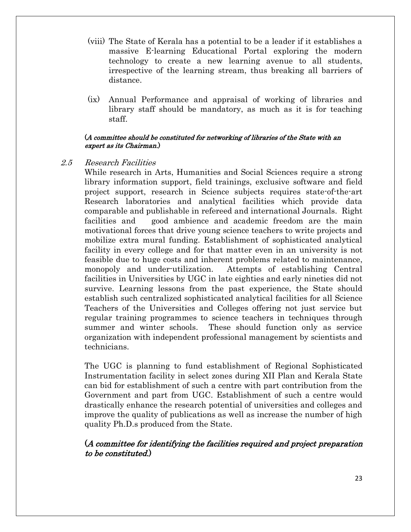- (viii) The State of Kerala has a potential to be a leader if it establishes a massive E-learning Educational Portal exploring the modern technology to create a new learning avenue to all students, irrespective of the learning stream, thus breaking all barriers of distance.
- (ix) Annual Performance and appraisal of working of libraries and library staff should be mandatory, as much as it is for teaching staff.

#### (A committee should be constituted for networking of libraries of the State with an expert as its Chairman.)

#### 2.5 Research Facilities

While research in Arts, Humanities and Social Sciences require a strong library information support, field trainings, exclusive software and field project support, research in Science subjects requires state-of-the-art Research laboratories and analytical facilities which provide data comparable and publishable in refereed and international Journals. Right facilities and good ambience and academic freedom are the main motivational forces that drive young science teachers to write projects and mobilize extra mural funding. Establishment of sophisticated analytical facility in every college and for that matter even in an university is not feasible due to huge costs and inherent problems related to maintenance, monopoly and under-utilization. Attempts of establishing Central facilities in Universities by UGC in late eighties and early nineties did not survive. Learning lessons from the past experience, the State should establish such centralized sophisticated analytical facilities for all Science Teachers of the Universities and Colleges offering not just service but regular training programmes to science teachers in techniques through summer and winter schools. These should function only as service organization with independent professional management by scientists and technicians.

The UGC is planning to fund establishment of Regional Sophisticated Instrumentation facility in select zones during XII Plan and Kerala State can bid for establishment of such a centre with part contribution from the Government and part from UGC. Establishment of such a centre would drastically enhance the research potential of universities and colleges and improve the quality of publications as well as increase the number of high quality Ph.D.s produced from the State.

#### (A committee for identifying the facilities required and project preparation to be constituted.)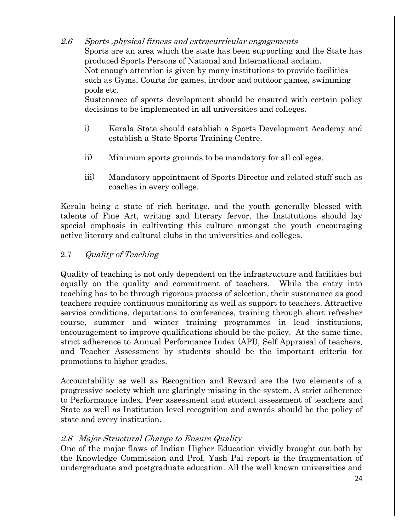2.6 Sports ,physical fitness and extracurricular engagements Sports are an area which the state has been supporting and the State has produced Sports Persons of National and International acclaim. Not enough attention is given by many institutions to provide facilities such as Gyms, Courts for games, in-door and outdoor games, swimming pools etc.

Sustenance of sports development should be ensured with certain policy decisions to be implemented in all universities and colleges.

- i) Kerala State should establish a Sports Development Academy and establish a State Sports Training Centre.
- ii) Minimum sports grounds to be mandatory for all colleges.
- iii) Mandatory appointment of Sports Director and related staff such as coaches in every college.

Kerala being a state of rich heritage, and the youth generally blessed with talents of Fine Art, writing and literary fervor, the Institutions should lay special emphasis in cultivating this culture amongst the youth encouraging active literary and cultural clubs in the universities and colleges.

#### 2.7 Quality of Teaching

Quality of teaching is not only dependent on the infrastructure and facilities but equally on the quality and commitment of teachers. While the entry into teaching has to be through rigorous process of selection, their sustenance as good teachers require continuous monitoring as well as support to teachers. Attractive service conditions, deputations to conferences, training through short refresher course, summer and winter training programmes in lead institutions, encouragement to improve qualifications should be the policy. At the same time, strict adherence to Annual Performance Index (API), Self Appraisal of teachers, and Teacher Assessment by students should be the important criteria for promotions to higher grades.

Accountability as well as Recognition and Reward are the two elements of a progressive society which are glaringly missing in the system. A strict adherence to Performance index, Peer assessment and student assessment of teachers and State as well as Institution level recognition and awards should be the policy of state and every institution.

#### 2.8 Major Structural Change to Ensure Quality

One of the major flaws of Indian Higher Education vividly brought out both by the Knowledge Commission and Prof. Yash Pal report is the fragmentation of undergraduate and postgraduate education. All the well known universities and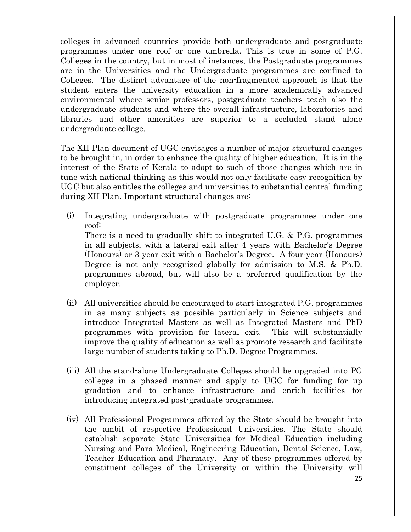colleges in advanced countries provide both undergraduate and postgraduate programmes under one roof or one umbrella. This is true in some of P.G. Colleges in the country, but in most of instances, the Postgraduate programmes are in the Universities and the Undergraduate programmes are confined to Colleges. The distinct advantage of the non-fragmented approach is that the student enters the university education in a more academically advanced environmental where senior professors, postgraduate teachers teach also the undergraduate students and where the overall infrastructure, laboratories and libraries and other amenities are superior to a secluded stand alone undergraduate college.

The XII Plan document of UGC envisages a number of major structural changes to be brought in, in order to enhance the quality of higher education. It is in the interest of the State of Kerala to adopt to such of those changes which are in tune with national thinking as this would not only facilitate easy recognition by UGC but also entitles the colleges and universities to substantial central funding during XII Plan. Important structural changes are:

- (i) Integrating undergraduate with postgraduate programmes under one roof: There is a need to gradually shift to integrated U.G. & P.G. programmes in all subjects, with a lateral exit after 4 years with Bachelor's Degree (Honours) or 3 year exit with a Bachelor's Degree. A four-year (Honours) Degree is not only recognized globally for admission to M.S. & Ph.D. programmes abroad, but will also be a preferred qualification by the employer.
- (ii) All universities should be encouraged to start integrated P.G. programmes in as many subjects as possible particularly in Science subjects and introduce Integrated Masters as well as Integrated Masters and PhD programmes with provision for lateral exit. This will substantially improve the quality of education as well as promote research and facilitate large number of students taking to Ph.D. Degree Programmes.
- (iii) All the stand-alone Undergraduate Colleges should be upgraded into PG colleges in a phased manner and apply to UGC for funding for up gradation and to enhance infrastructure and enrich facilities for introducing integrated post-graduate programmes.
- (iv) All Professional Programmes offered by the State should be brought into the ambit of respective Professional Universities. The State should establish separate State Universities for Medical Education including Nursing and Para Medical, Engineering Education, Dental Science, Law, Teacher Education and Pharmacy. Any of these programmes offered by constituent colleges of the University or within the University will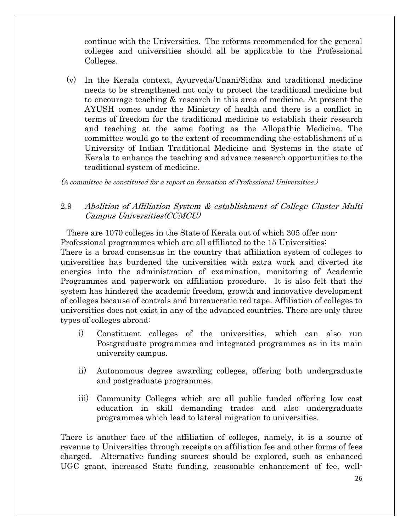continue with the Universities. The reforms recommended for the general colleges and universities should all be applicable to the Professional Colleges.

(v) In the Kerala context, Ayurveda/Unani/Sidha and traditional medicine needs to be strengthened not only to protect the traditional medicine but to encourage teaching & research in this area of medicine. At present the AYUSH comes under the Ministry of health and there is a conflict in terms of freedom for the traditional medicine to establish their research and teaching at the same footing as the Allopathic Medicine. The committee would go to the extent of recommending the establishment of a University of Indian Traditional Medicine and Systems in the state of Kerala to enhance the teaching and advance research opportunities to the traditional system of medicine.

(A committee be constituted for a report on formation of Professional Universities.)

#### 2.9 Abolition of Affiliation System & establishment of College Cluster Multi Campus Universities(CCMCU)

There are 1070 colleges in the State of Kerala out of which 305 offer non-Professional programmes which are all affiliated to the 15 Universities: There is a broad consensus in the country that affiliation system of colleges to universities has burdened the universities with extra work and diverted its energies into the administration of examination, monitoring of Academic Programmes and paperwork on affiliation procedure. It is also felt that the system has hindered the academic freedom, growth and innovative development of colleges because of controls and bureaucratic red tape. Affiliation of colleges to universities does not exist in any of the advanced countries. There are only three types of colleges abroad:

- i) Constituent colleges of the universities, which can also run Postgraduate programmes and integrated programmes as in its main university campus.
- ii) Autonomous degree awarding colleges, offering both undergraduate and postgraduate programmes.
- iii) Community Colleges which are all public funded offering low cost education in skill demanding trades and also undergraduate programmes which lead to lateral migration to universities.

There is another face of the affiliation of colleges, namely, it is a source of revenue to Universities through receipts on affiliation fee and other forms of fees charged. Alternative funding sources should be explored, such as enhanced UGC grant, increased State funding, reasonable enhancement of fee, well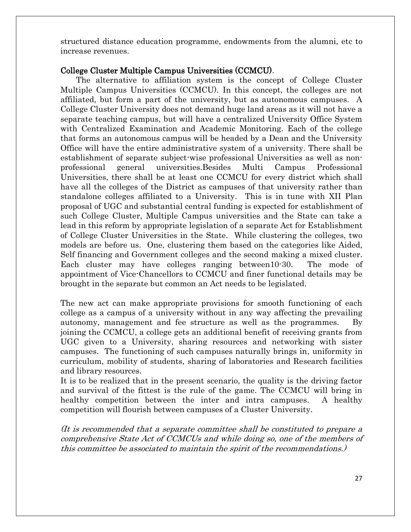structured distance education programme, endowments from the alumni, etc to increase revenues.

#### College Cluster Multiple Campus Universities (CCMCU).

 The alternative to affiliation system is the concept of College Cluster Multiple Campus Universities (CCMCU). In this concept, the colleges are not affiliated, but form a part of the university, but as autonomous campuses. A College Cluster University does not demand huge land areas as it will not have a separate teaching campus, but will have a centralized University Office System with Centralized Examination and Academic Monitoring. Each of the college that forms an autonomous campus will be headed by a Dean and the University Office will have the entire administrative system of a university. There shall be establishment of separate subject-wise professional Universities as well as nonprofessional general universities.Besides Multi Campus Professional Universities, there shall be at least one CCMCU for every district which shall have all the colleges of the District as campuses of that university rather than standalone colleges affiliated to a University. This is in tune with XII Plan proposal of UGC and substantial central funding is expected for establishment of such College Cluster, Multiple Campus universities and the State can take a lead in this reform by appropriate legislation of a separate Act for Establishment of College Cluster Universities in the State. While clustering the colleges, two models are before us. One, clustering them based on the categories like Aided, Self financing and Government colleges and the second making a mixed cluster. Each cluster may have colleges ranging between10-30. The mode of appointment of Vice-Chancellors to CCMCU and finer functional details may be brought in the separate but common an Act needs to be legislated.

The new act can make appropriate provisions for smooth functioning of each college as a campus of a university without in any way affecting the prevailing autonomy, management and fee structure as well as the programmes. By joining the CCMCU, a college gets an additional benefit of receiving grants from UGC given to a University, sharing resources and networking with sister campuses. The functioning of such campuses naturally brings in, uniformity in curriculum, mobility of students, sharing of laboratories and Research facilities and library resources.

It is to be realized that in the present scenario, the quality is the driving factor and survival of the fittest is the rule of the game. The CCMCU will bring in healthy competition between the inter and intra campuses. A healthy competition will flourish between campuses of a Cluster University.

(It is recommended that a separate committee shall be constituted to prepare a comprehensive State Act of CCMCUs and while doing so, one of the members of this committee be associated to maintain the spirit of the recommendations.)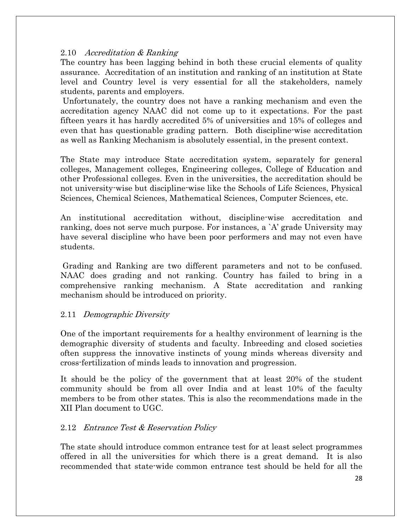#### 2.10 Accreditation & Ranking

The country has been lagging behind in both these crucial elements of quality assurance. Accreditation of an institution and ranking of an institution at State level and Country level is very essential for all the stakeholders, namely students, parents and employers.

Unfortunately, the country does not have a ranking mechanism and even the accreditation agency NAAC did not come up to it expectations. For the past fifteen years it has hardly accredited 5% of universities and 15% of colleges and even that has questionable grading pattern. Both discipline-wise accreditation as well as Ranking Mechanism is absolutely essential, in the present context.

The State may introduce State accreditation system, separately for general colleges, Management colleges, Engineering colleges, College of Education and other Professional colleges. Even in the universities, the accreditation should be not university-wise but discipline-wise like the Schools of Life Sciences, Physical Sciences, Chemical Sciences, Mathematical Sciences, Computer Sciences, etc.

An institutional accreditation without, discipline-wise accreditation and ranking, does not serve much purpose. For instances, a 'A' grade University may have several discipline who have been poor performers and may not even have students.

Grading and Ranking are two different parameters and not to be confused. NAAC does grading and not ranking. Country has failed to bring in a comprehensive ranking mechanism. A State accreditation and ranking mechanism should be introduced on priority.

#### 2.11 Demographic Diversity

One of the important requirements for a healthy environment of learning is the demographic diversity of students and faculty. Inbreeding and closed societies often suppress the innovative instincts of young minds whereas diversity and cross-fertilization of minds leads to innovation and progression.

It should be the policy of the government that at least 20% of the student community should be from all over India and at least 10% of the faculty members to be from other states. This is also the recommendations made in the XII Plan document to UGC.

#### 2.12 Entrance Test & Reservation Policy

The state should introduce common entrance test for at least select programmes offered in all the universities for which there is a great demand. It is also recommended that state-wide common entrance test should be held for all the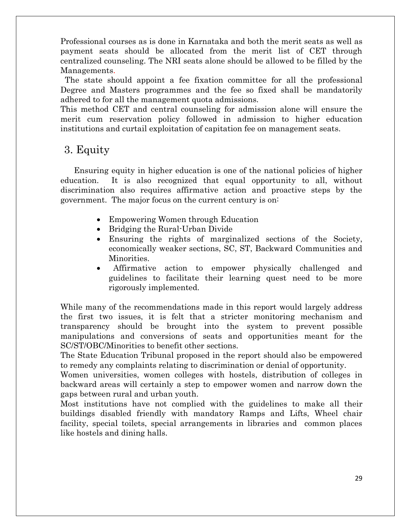Professional courses as is done in Karnataka and both the merit seats as well as payment seats should be allocated from the merit list of CET through centralized counseling. The NRI seats alone should be allowed to be filled by the Managements.

 The state should appoint a fee fixation committee for all the professional Degree and Masters programmes and the fee so fixed shall be mandatorily adhered to for all the management quota admissions.

This method CET and central counseling for admission alone will ensure the merit cum reservation policy followed in admission to higher education institutions and curtail exploitation of capitation fee on management seats.

## 3. Equity

 Ensuring equity in higher education is one of the national policies of higher education. It is also recognized that equal opportunity to all, without discrimination also requires affirmative action and proactive steps by the government. The major focus on the current century is on:

- Empowering Women through Education
- Bridging the Rural-Urban Divide
- Ensuring the rights of marginalized sections of the Society, economically weaker sections, SC, ST, Backward Communities and Minorities.
- Affirmative action to empower physically challenged and guidelines to facilitate their learning quest need to be more rigorously implemented.

While many of the recommendations made in this report would largely address the first two issues, it is felt that a stricter monitoring mechanism and transparency should be brought into the system to prevent possible manipulations and conversions of seats and opportunities meant for the SC/ST/OBC/Minorities to benefit other sections.

The State Education Tribunal proposed in the report should also be empowered to remedy any complaints relating to discrimination or denial of opportunity.

Women universities, women colleges with hostels, distribution of colleges in backward areas will certainly a step to empower women and narrow down the gaps between rural and urban youth.

Most institutions have not complied with the guidelines to make all their buildings disabled friendly with mandatory Ramps and Lifts, Wheel chair facility, special toilets, special arrangements in libraries and common places like hostels and dining halls.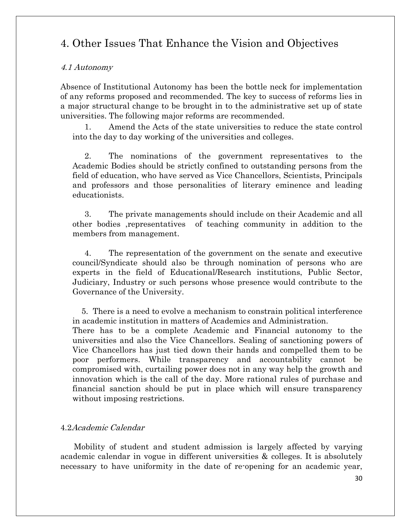# 4. Other Issues That Enhance the Vision and Objectives

#### 4.1 Autonomy

Absence of Institutional Autonomy has been the bottle neck for implementation of any reforms proposed and recommended. The key to success of reforms lies in a major structural change to be brought in to the administrative set up of state universities. The following major reforms are recommended.

1. Amend the Acts of the state universities to reduce the state control into the day to day working of the universities and colleges.

2. The nominations of the government representatives to the Academic Bodies should be strictly confined to outstanding persons from the field of education, who have served as Vice Chancellors, Scientists, Principals and professors and those personalities of literary eminence and leading educationists.

3. The private managements should include on their Academic and all other bodies ,representatives of teaching community in addition to the members from management.

4. The representation of the government on the senate and executive council/Syndicate should also be through nomination of persons who are experts in the field of Educational/Research institutions, Public Sector, Judiciary, Industry or such persons whose presence would contribute to the Governance of the University.

 5. There is a need to evolve a mechanism to constrain political interference in academic institution in matters of Academics and Administration.

There has to be a complete Academic and Financial autonomy to the universities and also the Vice Chancellors. Sealing of sanctioning powers of Vice Chancellors has just tied down their hands and compelled them to be poor performers. While transparency and accountability cannot be compromised with, curtailing power does not in any way help the growth and innovation which is the call of the day. More rational rules of purchase and financial sanction should be put in place which will ensure transparency without imposing restrictions.

#### 4.2Academic Calendar

 Mobility of student and student admission is largely affected by varying academic calendar in vogue in different universities & colleges. It is absolutely necessary to have uniformity in the date of re-opening for an academic year,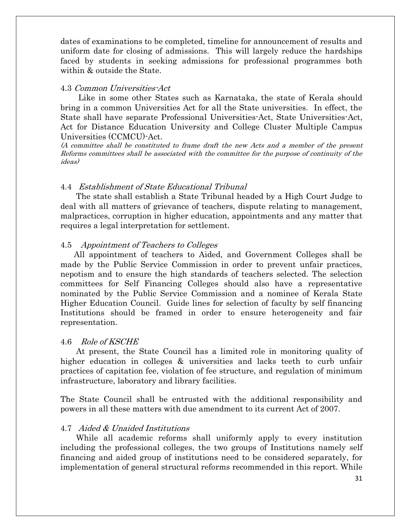dates of examinations to be completed, timeline for announcement of results and uniform date for closing of admissions. This will largely reduce the hardships faced by students in seeking admissions for professional programmes both within & outside the State.

#### 4.3 Common Universities-Act

 Like in some other States such as Karnataka, the state of Kerala should bring in a common Universities Act for all the State universities. In effect, the State shall have separate Professional Universities-Act, State Universities-Act, Act for Distance Education University and College Cluster Multiple Campus Universities (CCMCU)-Act.

(A committee shall be constituted to frame draft the new Acts and a member of the present Reforms committees shall be associated with the committee for the purpose of continuity of the ideas)

#### 4.4 Establishment of State Educational Tribunal

 The state shall establish a State Tribunal headed by a High Court Judge to deal with all matters of grievance of teachers, dispute relating to management, malpractices, corruption in higher education, appointments and any matter that requires a legal interpretation for settlement.

#### 4.5 Appointment of Teachers to Colleges

 All appointment of teachers to Aided, and Government Colleges shall be made by the Public Service Commission in order to prevent unfair practices, nepotism and to ensure the high standards of teachers selected. The selection committees for Self Financing Colleges should also have a representative nominated by the Public Service Commission and a nominee of Kerala State Higher Education Council. Guide lines for selection of faculty by self financing Institutions should be framed in order to ensure heterogeneity and fair representation.

#### 4.6 Role of KSCHE

 At present, the State Council has a limited role in monitoring quality of higher education in colleges & universities and lacks teeth to curb unfair practices of capitation fee, violation of fee structure, and regulation of minimum infrastructure, laboratory and library facilities.

The State Council shall be entrusted with the additional responsibility and powers in all these matters with due amendment to its current Act of 2007.

#### 4.7 Aided & Unaided Institutions

 While all academic reforms shall uniformly apply to every institution including the professional colleges, the two groups of Institutions namely self financing and aided group of institutions need to be considered separately, for implementation of general structural reforms recommended in this report. While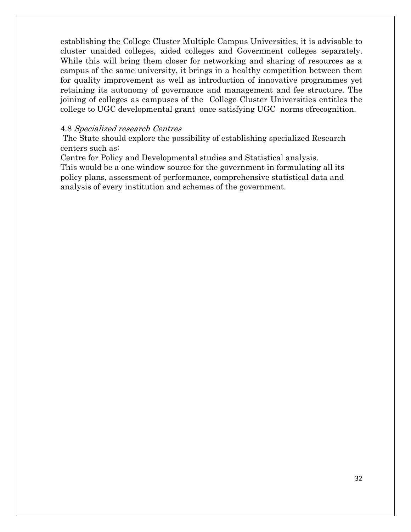establishing the College Cluster Multiple Campus Universities, it is advisable to cluster unaided colleges, aided colleges and Government colleges separately. While this will bring them closer for networking and sharing of resources as a campus of the same university, it brings in a healthy competition between them for quality improvement as well as introduction of innovative programmes yet retaining its autonomy of governance and management and fee structure. The joining of colleges as campuses of the College Cluster Universities entitles the college to UGC developmental grant once satisfying UGC norms ofrecognition.

#### 4.8 Specialized research Centres

The State should explore the possibility of establishing specialized Research centers such as:

Centre for Policy and Developmental studies and Statistical analysis. This would be a one window source for the government in formulating all its policy plans, assessment of performance, comprehensive statistical data and analysis of every institution and schemes of the government.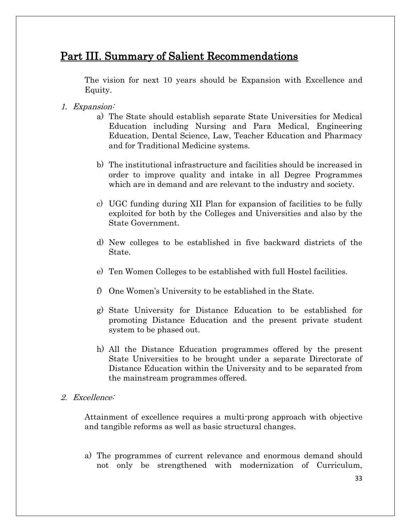# Part III. Summary of Salient Recommendations

The vision for next 10 years should be Expansion with Excellence and Equity.

- 1. Expansion:
	- a) The State should establish separate State Universities for Medical Education including Nursing and Para Medical, Engineering Education, Dental Science, Law, Teacher Education and Pharmacy and for Traditional Medicine systems.
	- b) The institutional infrastructure and facilities should be increased in order to improve quality and intake in all Degree Programmes which are in demand and are relevant to the industry and society.
	- c) UGC funding during XII Plan for expansion of facilities to be fully exploited for both by the Colleges and Universities and also by the State Government.
	- d) New colleges to be established in five backward districts of the State.
	- e) Ten Women Colleges to be established with full Hostel facilities.
	- f) One Women's University to be established in the State.
	- g) State University for Distance Education to be established for promoting Distance Education and the present private student system to be phased out.
	- h) All the Distance Education programmes offered by the present State Universities to be brought under a separate Directorate of Distance Education within the University and to be separated from the mainstream programmes offered.
- 2. Excellence:

Attainment of excellence requires a multi-prong approach with objective and tangible reforms as well as basic structural changes.

a) The programmes of current relevance and enormous demand should not only be strengthened with modernization of Curriculum,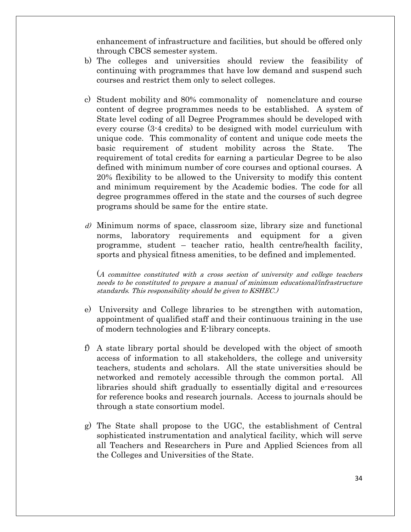enhancement of infrastructure and facilities, but should be offered only through CBCS semester system.

- b) The colleges and universities should review the feasibility of continuing with programmes that have low demand and suspend such courses and restrict them only to select colleges.
- c) Student mobility and 80% commonality of nomenclature and course content of degree programmes needs to be established. A system of State level coding of all Degree Programmes should be developed with every course (3-4 credits) to be designed with model curriculum with unique code. This commonality of content and unique code meets the basic requirement of student mobility across the State. The requirement of total credits for earning a particular Degree to be also defined with minimum number of core courses and optional courses. A 20% flexibility to be allowed to the University to modify this content and minimum requirement by the Academic bodies. The code for all degree programmes offered in the state and the courses of such degree programs should be same for the entire state.
- $d$ ) Minimum norms of space, classroom size, library size and functional norms, laboratory requirements and equipment for a given programme, student – teacher ratio, health centre/health facility, sports and physical fitness amenities, to be defined and implemented.

(A committee constituted with a cross section of university and college teachers needs to be constituted to prepare a manual of minimum educational/infrastructure standards. This responsibility should be given to KSHEC.)

- e) University and College libraries to be strengthen with automation, appointment of qualified staff and their continuous training in the use of modern technologies and E-library concepts.
- f) A state library portal should be developed with the object of smooth access of information to all stakeholders, the college and university teachers, students and scholars. All the state universities should be networked and remotely accessible through the common portal. All libraries should shift gradually to essentially digital and e-resources for reference books and research journals. Access to journals should be through a state consortium model.
- g) The State shall propose to the UGC, the establishment of Central sophisticated instrumentation and analytical facility, which will serve all Teachers and Researchers in Pure and Applied Sciences from all the Colleges and Universities of the State.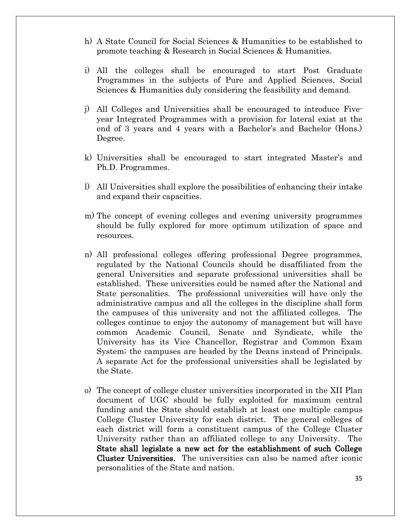- h) A State Council for Social Sciences & Humanities to be established to promote teaching & Research in Social Sciences & Humanities.
- i) All the colleges shall be encouraged to start Post Graduate Programmes in the subjects of Pure and Applied Sciences, Social Sciences & Humanities duly considering the feasibility and demand.
- j) All Colleges and Universities shall be encouraged to introduce Fiveyear Integrated Programmes with a provision for lateral exist at the end of 3 years and 4 years with a Bachelor's and Bachelor (Hons.) Degree.
- k) Universities shall be encouraged to start integrated Master's and Ph.D. Programmes.
- l) All Universities shall explore the possibilities of enhancing their intake and expand their capacities.
- m) The concept of evening colleges and evening university programmes should be fully explored for more optimum utilization of space and resources.
- n) All professional colleges offering professional Degree programmes, regulated by the National Councils should be disaffiliated from the general Universities and separate professional universities shall be established. These universities could be named after the National and State personalities. The professional universities will have only the administrative campus and all the colleges in the discipline shall form the campuses of this university and not the affiliated colleges. The colleges continue to enjoy the autonomy of management but will have common Academic Council, Senate and Syndicate, while the University has its Vice Chancellor, Registrar and Common Exam System; the campuses are headed by the Deans instead of Principals. A separate Act for the professional universities shall be legislated by the State.
- o) The concept of college cluster universities incorporated in the XII Plan document of UGC should be fully exploited for maximum central funding and the State should establish at least one multiple campus College Cluster University for each district. The general colleges of each district will form a constituent campus of the College Cluster University rather than an affiliated college to any University. The State shall legislate a new act for the establishment of such College Cluster Universities. The universities can also be named after iconic personalities of the State and nation.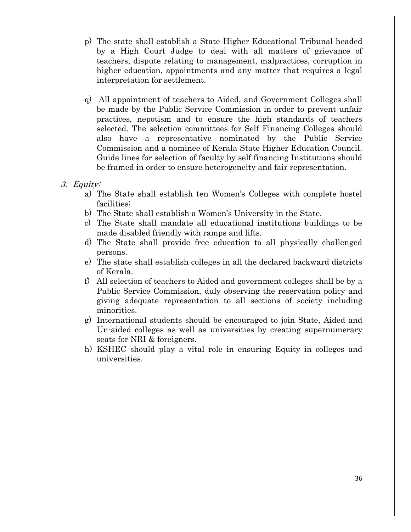- p) The state shall establish a State Higher Educational Tribunal headed by a High Court Judge to deal with all matters of grievance of teachers, dispute relating to management, malpractices, corruption in higher education, appointments and any matter that requires a legal interpretation for settlement.
- q) All appointment of teachers to Aided, and Government Colleges shall be made by the Public Service Commission in order to prevent unfair practices, nepotism and to ensure the high standards of teachers selected. The selection committees for Self Financing Colleges should also have a representative nominated by the Public Service Commission and a nominee of Kerala State Higher Education Council. Guide lines for selection of faculty by self financing Institutions should be framed in order to ensure heterogeneity and fair representation.
- 3. Equity:
	- a) The State shall establish ten Women's Colleges with complete hostel facilities;
	- b) The State shall establish a Women's University in the State.
	- c) The State shall mandate all educational institutions buildings to be made disabled friendly with ramps and lifts.
	- d) The State shall provide free education to all physically challenged persons.
	- e) The state shall establish colleges in all the declared backward districts of Kerala.
	- f) All selection of teachers to Aided and government colleges shall be by a Public Service Commission, duly observing the reservation policy and giving adequate representation to all sections of society including minorities.
	- g) International students should be encouraged to join State, Aided and Un-aided colleges as well as universities by creating supernumerary seats for NRI & foreigners.
	- h) KSHEC should play a vital role in ensuring Equity in colleges and universities.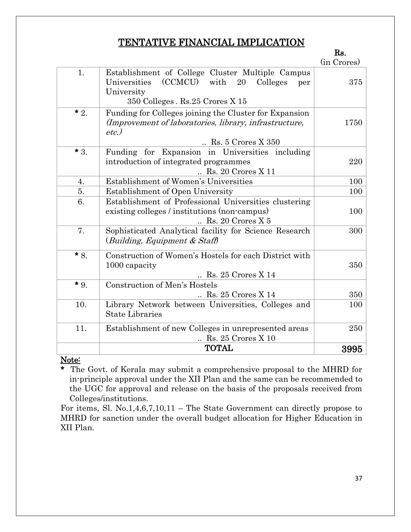### TENTATIVE FINANCIAL IMPLICATION

Rs.

|       |                                                                                                                                      | (in Crores) |
|-------|--------------------------------------------------------------------------------------------------------------------------------------|-------------|
| 1.    | Establishment of College Cluster Multiple Campus<br>(CCMCU) with<br>Universities<br>20<br>Colleges<br>per<br>University              | 375         |
|       | 350 Colleges. Rs.25 Crores X 15                                                                                                      |             |
| $*2.$ | Funding for Colleges joining the Cluster for Expansion<br>(Improvement of laboratories, library, infrastructure,<br>etc.             | 1750        |
|       | $\ldots$ Rs. 5 Crores X 350                                                                                                          |             |
| $*3.$ | Funding for Expansion in Universities including<br>introduction of integrated programmes<br>$\ldots$ Rs. 20 Crores X 11              | 220         |
| 4.    | Establishment of Women's Universities                                                                                                | 100         |
| 5.    | Establishment of Open University                                                                                                     | 100         |
| 6.    | Establishment of Professional Universities clustering<br>existing colleges / institutions (non-campus)<br>$\ldots$ Rs. 20 Crores X 5 | 100         |
| 7.    | Sophisticated Analytical facility for Science Research<br>(Building, Equipment & Staff)                                              | 300         |
| $*8.$ | Construction of Women's Hostels for each District with<br>1000 capacity<br>$\ldots$ Rs. 25 Crores X 14                               | 350         |
| $*9.$ | <b>Construction of Men's Hostels</b><br>$\ldots$ Rs. 25 Crores X 14                                                                  | 350         |
| 10.   | Library Network between Universities, Colleges and<br><b>State Libraries</b>                                                         | 100         |
| 11.   | Establishment of new Colleges in unrepresented areas<br>$\ldots$ Rs. 25 Crores X 10                                                  | 250         |
|       | <b>TOTAL</b>                                                                                                                         | 3995        |

#### Note:

\* The Govt. of Kerala may submit a comprehensive proposal to the MHRD for in-principle approval under the XII Plan and the same can be recommended to the UGC for approval and release on the basis of the proposals received from Colleges/institutions.

For items, Sl. No.1,4,6,7,10,11 – The State Government can directly propose to MHRD for sanction under the overall budget allocation for Higher Education in XII Plan.